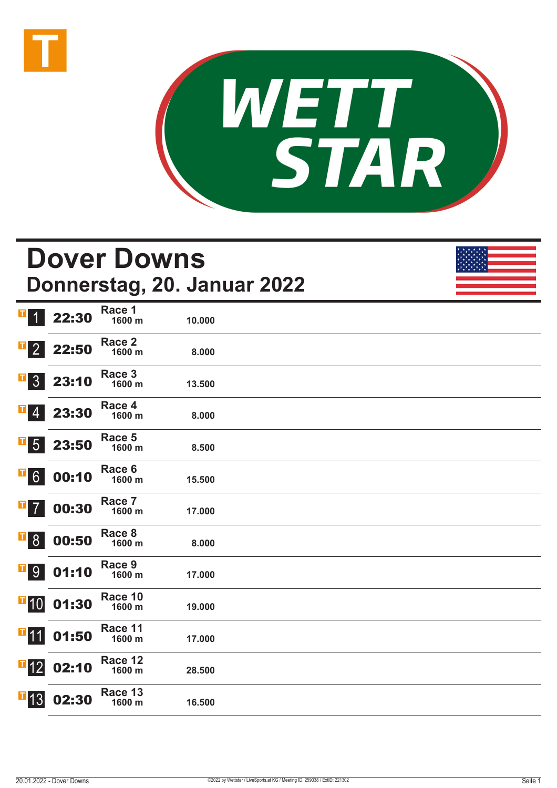



#### **Dover Downs Donnerstag, 20. Januar 2022** 22:30 **Race 1 1600 m 10.000**  22:50 **Race 2 1600 m 8.000**  3 23:10 **Race 3 1600 m 13.500**  23:30 **Race 4 1600 m 8.000**  5 23:50 **Race 5 1600 m 8.500**  00:10 **Race 6 1600 m 15.500**  00:30 **Race 7 1600 m 17.000**  8 00:50 **Race 8 1600 m 8.000**  9 01:10 **Race 9 1600 m 17.000**   $\blacksquare$ 10 01:30 **Race 10 1600 m 19.000 <sup>1</sup>11** 01:50 **Race 11 1600 m 17.000**   $\blacksquare$ 12 02:10 **Race 12 1600 m 28.500**   $\blacksquare$ 13 02:30 **Race 13 1600 m 16.500**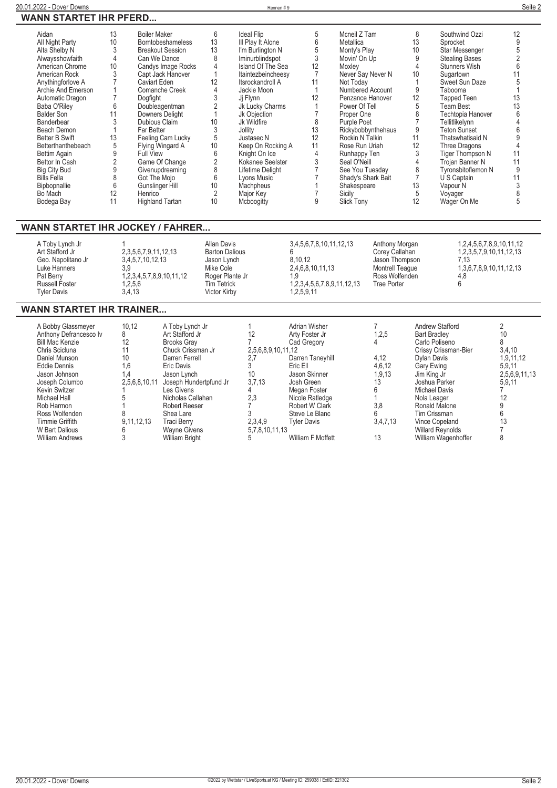| Aidan               | 13 | <b>Boiler Maker</b>      | 6  | <b>Ideal Flip</b>  |    | Mcneil Z Tam       | 8  | Southwind Ozzi          | 12 |
|---------------------|----|--------------------------|----|--------------------|----|--------------------|----|-------------------------|----|
| All Night Party     | 10 | <b>Borntobeshameless</b> | 13 | III Play It Alone  |    | Metallica          | 13 | Sprocket                |    |
| Alta Shelby N       |    | <b>Breakout Session</b>  | 13 | I'm Burlington N   |    | Monty's Play       | 10 | Star Messenger          |    |
| Alwaysshowfaith     |    | Can We Dance             | 8  | Iminurblindspot    |    | Movin' On Up       |    | <b>Stealing Bases</b>   |    |
| American Chrome     | 10 | Candys Image Rocks       |    | Island Of The Sea  |    | Moxley             |    | <b>Stunners Wish</b>    |    |
| American Rock       |    | Capt Jack Hanover        |    | Itaintezbeincheesy |    | Never Say Never N  | 10 | Sugartown               |    |
| Anythingforlove A   |    | Caviart Eden             | 12 | Itsrockandroll A   |    | Not Today          |    | Sweet Sun Daze          |    |
| Archie And Emerson  |    | Comanche Creek           |    | Jackie Moon        |    | Numbered Account   |    | Tabooma                 |    |
| Automatic Dragon    |    | Dogfight                 |    | Ji Flynn           |    | Penzance Hanover   | 12 | Tapped Teen             | 13 |
| Baba O'Riley        | 6  | Doubleagentman           |    | Jk Lucky Charms    |    | Power Of Tell      | 5  | Team Best               |    |
| <b>Balder Son</b>   |    | Downers Delight          |    | Jk Objection       |    | Proper One         |    | Techtopia Hanover       |    |
| Banderbear          |    | Dubious Claim            | 10 | Jk Wildfire        |    | Purple Poet        |    | Tellitlikelynn          |    |
| Beach Demon         |    | Far Better               |    | Jollity            | 13 | Rickybobbynthehaus | 9  | Teton Sunset            |    |
| Better B Swift      | 13 | Feeling Cam Lucky        |    | Justasec N         | 12 | Rockin N Talkin    | 11 | Thatswhatisaid N        |    |
| Betterthanthebeach  |    | Flying Wingard A         | 10 | Keep On Rocking A  | 11 | Rose Run Uriah     | 12 | Three Dragons           |    |
| Bettim Again        |    | Full View                |    | Knight On Ice      |    | Runhappy Ten       |    | <b>Tiger Thompson N</b> |    |
| Bettor In Cash      |    | Game Of Change           |    | Kokanee Seelster   |    | Seal O'Neill       |    | Trojan Banner N         |    |
| <b>Big City Bud</b> |    | Givenupdreaming          |    | Lifetime Delight   |    | See You Tuesday    |    | Tyronsbitoflemon N      |    |
| <b>Bills Fella</b>  |    | Got The Mojo             |    | Lyons Music        |    | Shady's Shark Bait |    | U S Captain             |    |
| Bipbopnallie        |    | Gunslinger Hill          | 10 | Machpheus          |    | Shakespeare        | 13 | Vapour N                |    |
| Bo Mach             | 12 | Henrico                  |    | Major Key          |    | Sicily             | 5  | Voyager                 |    |
| Bodega Bay          |    | <b>Highland Tartan</b>   | 10 | Mcboogitty         |    | Slick Tony         |    | Wager On Me             |    |

### **WANN STARTET IHR JOCKEY / FAHRER...**

| A Toby Lynch Jr<br>Art Stafford Jr<br>Geo. Napolitano Jr<br>Luke Hanners<br>Pat Berry<br><b>Russell Foster</b><br><b>Tyler Davis</b> | 2,3,5,6,7,9,11,12,13<br>3.4.5.7.10.12.13<br>1.2.3.4.5.7.8.9.10.11.12<br>0.2.5.6<br>3.4.13 | Allan Davis<br><b>Barton Dalious</b><br>Jason Lynch<br>Mike Cole<br>Roger Plante Jr<br><b>Tim Tetrick</b><br>Victor Kirby | 3,4,5,6,7,8,10,11,12,13<br>8.10.12<br>2,4,6,8,10,11,13<br>1.9<br>1,2,3,4,5,6,7,8,9,11,12,13<br>1.2.5.9.11 | Anthony Morgan<br>Corey Callahan<br>Jason Thompson<br><b>Montrell Teague</b><br>Ross Wolfenden<br><b>Trae Porter</b> | 1.2.4.5.6.7.8.9.10.11.12<br>1,2,3,5,7,9,10,11,12,13<br>7 13<br>1,3,6,7,8,9,10,11,12,13<br>4.8 |
|--------------------------------------------------------------------------------------------------------------------------------------|-------------------------------------------------------------------------------------------|---------------------------------------------------------------------------------------------------------------------------|-----------------------------------------------------------------------------------------------------------|----------------------------------------------------------------------------------------------------------------------|-----------------------------------------------------------------------------------------------|
|--------------------------------------------------------------------------------------------------------------------------------------|-------------------------------------------------------------------------------------------|---------------------------------------------------------------------------------------------------------------------------|-----------------------------------------------------------------------------------------------------------|----------------------------------------------------------------------------------------------------------------------|-----------------------------------------------------------------------------------------------|

### **WANN STARTET IHR TRAINER...**

| A Bobby Glassmeyer     | 10.12         | A Toby Lynch Jr        |                    | Adrian Wisher     |          | Andrew Stafford         |               |
|------------------------|---------------|------------------------|--------------------|-------------------|----------|-------------------------|---------------|
| Anthony Defrancesco Iv |               | Art Stafford Jr        | 12                 | Arty Foster Jr    | 1,2.5    | <b>Bart Bradley</b>     | 10            |
| <b>Bill Mac Kenzie</b> | 12            | <b>Brooks Gray</b>     |                    | Cad Gregory       |          | Carlo Poliseno          |               |
| Chris Scicluna         |               | Chuck Crissman Jr      | 2,5,6,8,9,10,11,12 |                   |          | Crissy Crissman-Bier    | 3,4,10        |
| Daniel Munson          | 10            | Darren Ferrell         | 2,7                | Darren Taneyhill  | 4,12     | Dylan Davis             | 1,9,11,12     |
| Eddie Dennis           | 1,6           | Eric Davis             |                    | Eric Ell          | 4,6,12   | Gary Ewing              | 5,9,11        |
| Jason Johnson          | . 4           | Jason Lynch            | 10                 | Jason Skinner     | 1,9,13   | Jim King Jr             | 2,5,6,9,11,13 |
| Joseph Columbo         | 2,5,6,8,10,11 | Joseph Hundertpfund Jr | 3,7,13             | Josh Green        | 13       | Joshua Parker           | 5,9,11        |
| <b>Kevin Switzer</b>   |               | Les Givens             |                    | Megan Foster      |          | Michael Davis           |               |
| Michael Hall           |               | Nicholas Callahan      | 2,3                | Nicole Ratledge   |          | Nola Leager             |               |
| Rob Harmon             |               | <b>Robert Reeser</b>   |                    | Robert W Clark    | 3.8      | Ronald Malone           |               |
| Ross Wolfenden         |               | Shea Lare              |                    | Steve Le Blanc    |          | Tim Crissman            |               |
| Timmie Griffith        | 9.11.12.13    | <b>Traci Berry</b>     | 2.3.4.9            | Tvler Davis       | 3,4,7,13 | Vince Copeland          | 13            |
| W Bart Dalious         |               | <b>Wayne Givens</b>    | 5,7,8,10,11,13     |                   |          | <b>Willard Reynolds</b> |               |
| <b>William Andrews</b> |               | <b>William Bright</b>  | 5                  | William F Moffett | 13       | William Wagenhoffer     |               |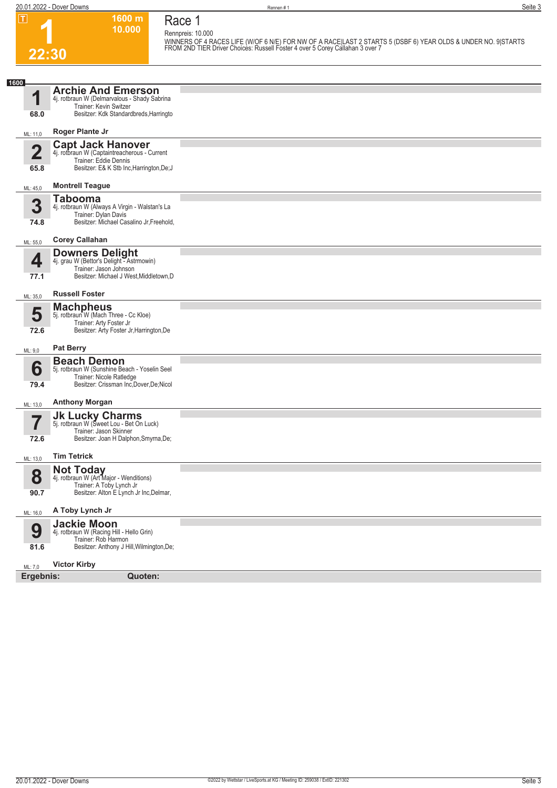|      |                                                     | 20.01.2022 - Dover Downs                                                                                                                       |                             | Rennen#1                                                                                                                                                                                       | Seite 3 |
|------|-----------------------------------------------------|------------------------------------------------------------------------------------------------------------------------------------------------|-----------------------------|------------------------------------------------------------------------------------------------------------------------------------------------------------------------------------------------|---------|
|      | $\boxed{\mathbf{T}}$<br>22:30                       | 1600 m<br>10.000                                                                                                                               | Race 1<br>Rennpreis: 10.000 | WINNERS OF 4 RACES LIFE (W/OF 6 N/E) FOR NW OF A RACE LAST 2 STARTS 5 (DSBF 6) YEAR OLDS & UNDER NO. 9 STARTS<br>FROM 2ND TIER Driver Choices: Russell Foster 4 over 5 Corey Callahan 3 over 7 |         |
| 1600 |                                                     |                                                                                                                                                |                             |                                                                                                                                                                                                |         |
|      | 68.0                                                | <b>Archie And Emerson</b><br>4j. rotbraun W (Delmarvalous - Shady Sabrina<br>Trainer: Kevin Switzer<br>Besitzer: Kdk Standardbreds, Harringto  |                             |                                                                                                                                                                                                |         |
|      | ML: 11,0                                            | Roger Plante Jr                                                                                                                                |                             |                                                                                                                                                                                                |         |
|      | 65.8                                                | <b>Capt Jack Hanover</b><br>4j. rotbraun W (Captaintreacherous - Current<br>Trainer: Eddie Dennis<br>Besitzer: E& K Stb Inc, Harrington, De; J |                             |                                                                                                                                                                                                |         |
|      | $\mathbf{r}$ $\mathbf{r}$ $\mathbf{r}$ $\mathbf{r}$ | <b>Montrell Teague</b>                                                                                                                         |                             |                                                                                                                                                                                                |         |

| 65.8                 | <b>HULLOL LUGIO DUILIO</b><br>Besitzer: E& K Stb Inc, Harrington, De; J                                                                                    |  |
|----------------------|------------------------------------------------------------------------------------------------------------------------------------------------------------|--|
| ML: 45,0             | <b>Montrell Teague</b>                                                                                                                                     |  |
| 3<br>74.8            | <b>Tabooma</b><br>4j. rotbraun W (Always A Virgin - Walstan's La<br>Trainer: Dylan Davis<br>Besitzer: Michael Casalino Jr, Freehold,                       |  |
| ML: 55,0             | <b>Corey Callahan</b>                                                                                                                                      |  |
| 4<br>77.1            | <b>Downers Delight</b><br>4j. grau W (Bettor's Delight - Astrmowin)<br>Trainer: Jason Johnson<br>Besitzer: Michael J West, Middletown, D                   |  |
| ML: 35,0             | <b>Russell Foster</b>                                                                                                                                      |  |
| 5<br>72.6            | <b>Machpheus</b><br>5j. rotbraun W (Mach Three - Cc Kloe)<br>Trainer: Arty Foster Jr<br>Besitzer: Arty Foster Jr, Harrington, De                           |  |
| ML: 9,0              | <b>Pat Berry</b>                                                                                                                                           |  |
| 6<br>79.4            | <b>Beach Demon</b><br>5j. rotbraun W (Sunshine Beach - Yoselin Seel<br>Trainer: Nicole Ratledge<br>Besitzer: Crissman Inc, Dover, De; Nicol                |  |
| ML: 13,0             | <b>Anthony Morgan</b>                                                                                                                                      |  |
| 72.6                 | <b>Jk Lucky Charms</b><br>5j. rotbraun W (Sweet Lou - Bet On Luck)<br>Trainer: Jason Skinner<br>Besitzer: Joan H Dalphon, Smyrna, De;                      |  |
| ML: 13,0             | <b>Tim Tetrick</b>                                                                                                                                         |  |
| 8<br>90.7            | Not Today<br>4j. rotbraun W (Art Major - Wenditions)<br>Trainer: A Toby Lynch Jr<br>Besitzer: Alton E Lynch Jr Inc, Delmar,                                |  |
| ML: 16,0             | A Toby Lynch Jr                                                                                                                                            |  |
| 9<br>81.6            | <b>Jackie Moon</b><br>4j. rotbraun W (Racing Hill - Hello Grin)<br>Trainer: Rob Harmon<br>Besitzer: Anthony J Hill, Wilmington, De;<br><b>Victor Kirby</b> |  |
| ML: 7,0<br>Ergebnis: | Quoten:                                                                                                                                                    |  |
|                      |                                                                                                                                                            |  |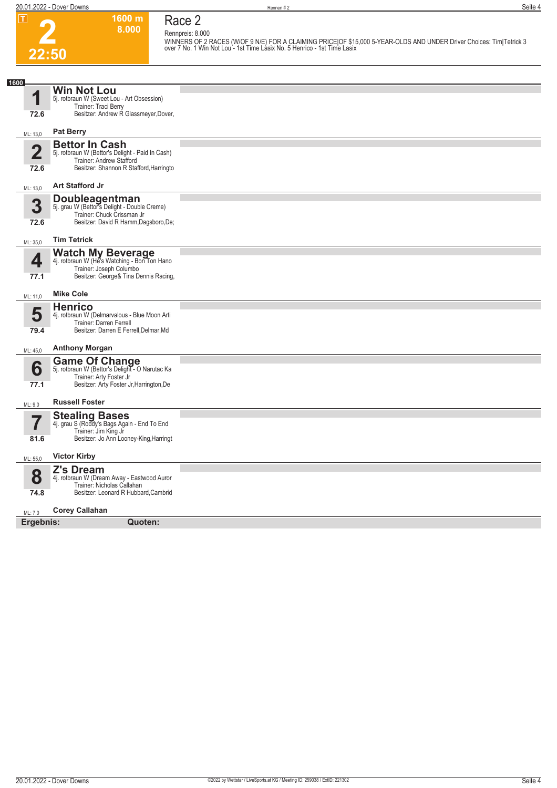### **Race 2 Rennpreis: 8.000**

**1600 m 8.000** 

**2 22:50**

**WINNERS OF 2 RACES (W/OF 9 N/E) FOR A CLAIMING PRICE|OF \$15,000 5-YEAR-OLDS AND UNDER Driver Choices: Tim|Tetrick 3 over 7 No. 1 Win Not Lou - 1st Time Lasix No. 5 Henrico - 1st Time Lasix** 

| 1600                            |                                                                                                                                                  |  |
|---------------------------------|--------------------------------------------------------------------------------------------------------------------------------------------------|--|
| И                               | <b>Win Not Lou</b><br>5j. rotbraun W (Sweet Lou - Art Obsession)<br>Trainer: Traci Berry                                                         |  |
| 72.6                            | Besitzer: Andrew R Glassmeyer, Dover,                                                                                                            |  |
| ML: 13,0                        | <b>Pat Berry</b>                                                                                                                                 |  |
| $\overline{\mathbf{2}}$<br>72.6 | <b>Bettor In Cash</b><br>5j. rotbraun W (Bettor's Delight - Paid In Cash)<br>Trainer: Andrew Stafford<br>Besitzer: Shannon R Stafford, Harringto |  |
| ML: 13,0                        | <b>Art Stafford Jr</b>                                                                                                                           |  |
| 3<br>72.6                       | <b>Doubleagentman</b><br>5j. grau W (Bettor's Delight - Double Creme)<br>Trainer: Chuck Crissman Jr<br>Besitzer: David R Hamm, Dagsboro, De;     |  |
| ML: 35,0                        | <b>Tim Tetrick</b>                                                                                                                               |  |
| 4<br>77.1                       | <b>Watch My Beverage</b><br>4j. rotbraun W (He's Watching - Bon Ton Hano<br>Trainer: Joseph Columbo<br>Besitzer: George& Tina Dennis Racing,     |  |
| ML: 11,0                        | <b>Mike Cole</b>                                                                                                                                 |  |
| 5<br>79.4                       | <b>Henrico</b><br>4j. rotbraun W (Delmarvalous - Blue Moon Arti<br>Trainer: Darren Ferrell<br>Besitzer: Darren E Ferrell, Delmar, Md             |  |
| ML: 45,0                        | <b>Anthony Morgan</b>                                                                                                                            |  |
| 6<br>77.1                       | <b>Game Of Change</b><br>5j. rotbraun W (Bettor's Delight - O Narutac Ka<br>Trainer: Arty Foster Jr<br>Besitzer: Arty Foster Jr, Harrington, De  |  |
| ML: 9,0                         | <b>Russell Foster</b>                                                                                                                            |  |
| 81.6                            | Stealing Bases<br>4. grau S (Roddy's Bags Again - End To End<br>Trainer: Jim King Jr<br>Besitzer: Jo Ann Looney-King, Harringt                   |  |
| ML: 55,0                        | <b>Victor Kirby</b>                                                                                                                              |  |
| 8<br>74.8                       | <b>Z's Dream</b><br>4j. rotbraun W (Dream Away - Eastwood Auror<br>Trainer: Nicholas Callahan<br>Besitzer: Leonard R Hubbard, Cambrid            |  |
| ML: 7,0                         | <b>Corey Callahan</b>                                                                                                                            |  |
| Ergebnis:                       | Quoten:                                                                                                                                          |  |
|                                 |                                                                                                                                                  |  |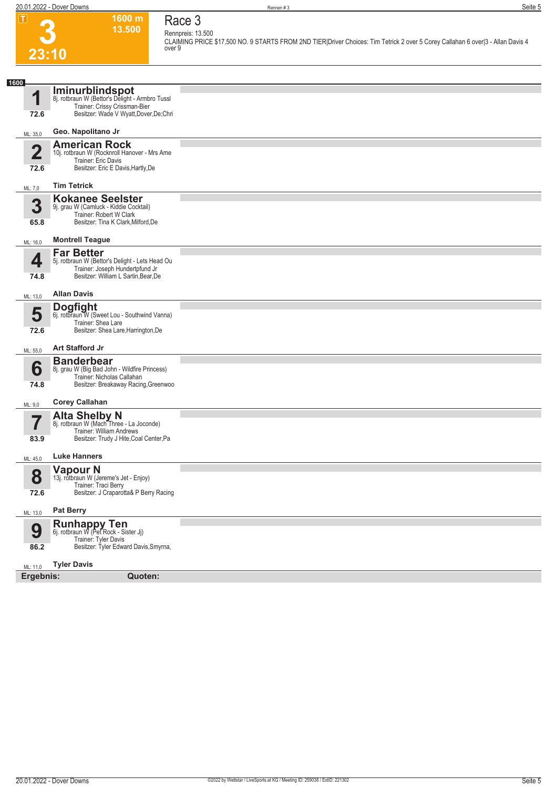**1600 m 13.500**  **Race 3**



#### **Rennpreis: 13.500 CLAIMING PRICE \$17,500 NO. 9 STARTS FROM 2ND TIER|Driver Choices: Tim Tetrick 2 over 5 Corey Callahan 6 over|3 - Allan Davis 4 over 9**

| 1600                     |                                                                      |  |
|--------------------------|----------------------------------------------------------------------|--|
|                          | Iminurblindspot                                                      |  |
| 4                        | 8j. rotbraun W (Bettor's Delight - Armbro Tussl                      |  |
|                          | Trainer: Crissy Crissman-Bier                                        |  |
| 72.6                     | Besitzer: Wade V Wyatt, Dover, De; Chri                              |  |
|                          |                                                                      |  |
| ML: 35,0                 | Geo. Napolitano Jr                                                   |  |
|                          |                                                                      |  |
| $\overline{2}$           | <b>American Rock</b><br>10j. rotbraun W (Rocknroll Hanover - Mrs Ame |  |
|                          | Trainer: Eric Davis                                                  |  |
| 72.6                     | Besitzer: Eric E Davis, Hartly, De                                   |  |
|                          |                                                                      |  |
| ML: 7,0                  | <b>Tim Tetrick</b>                                                   |  |
|                          |                                                                      |  |
| 3                        | <b>Kokanee Seelster</b>                                              |  |
|                          | 9j. grau W (Camluck - Kiddie Cocktail)                               |  |
| 65.8                     | Trainer: Robert W Clark<br>Besitzer: Tina K Clark, Milford, De       |  |
|                          |                                                                      |  |
|                          | <b>Montrell Teague</b>                                               |  |
| ML: 16,0                 |                                                                      |  |
|                          | <b>Far Better</b>                                                    |  |
| 4                        | 5j. rotbraun W (Bettor's Delight - Lets Head Ou                      |  |
|                          | Trainer: Joseph Hundertpfund Jr                                      |  |
| 74.8                     | Besitzer: William L Sartin, Bear, De                                 |  |
|                          |                                                                      |  |
| ML: 13,0                 | <b>Allan Davis</b>                                                   |  |
|                          | <b>Dogfight</b>                                                      |  |
| 5                        | 6j. rotbraun W (Sweet Lou - Southwind Vanna)                         |  |
|                          | Trainer: Shea Lare                                                   |  |
| 72.6                     | Besitzer: Shea Lare, Harrington, De                                  |  |
|                          |                                                                      |  |
| ML: 55,0                 | Art Stafford Jr                                                      |  |
|                          | <b>Banderbear</b>                                                    |  |
| 6                        | 8j. grau W (Big Bad John - Wildfire Princess)                        |  |
|                          | Trainer: Nicholas Callahan                                           |  |
| 74.8                     | Besitzer: Breakaway Racing, Greenwoo                                 |  |
|                          |                                                                      |  |
| ML: 9,0                  | <b>Corey Callahan</b>                                                |  |
|                          |                                                                      |  |
| $\overline{\phantom{a}}$ | Alta Shelby N<br>8j. rotbraun W (Mach Three - La Joconde)            |  |
|                          | Trainer: William Andrews                                             |  |
| 83.9                     | Besitzer: Trudy J Hite, Coal Center, Pa                              |  |
|                          |                                                                      |  |
| ML: 45,0                 | <b>Luke Hanners</b>                                                  |  |
|                          |                                                                      |  |
|                          | <b>Vapour N</b>                                                      |  |
| 8                        | 13j. rotbraun W (Jereme's Jet - Enjoy)<br>Trainer: Traci Berry       |  |
| 72.6                     | Besitzer: J Craparotta& P Berry Racing                               |  |
|                          |                                                                      |  |
|                          | <b>Pat Berry</b>                                                     |  |
| ML: 13,0                 |                                                                      |  |
|                          | Runhappy Ten<br>6j. rotbraun W (Pet Rock - Sister Jj)                |  |
| 9                        |                                                                      |  |
|                          | Trainer: Tyler Davis                                                 |  |
| 86.2                     | Besitzer: Tyler Edward Davis, Smyrna,                                |  |
|                          |                                                                      |  |
| ML: 11,0                 | <b>Tyler Davis</b>                                                   |  |
| Ergebnis:                | Quoten:                                                              |  |
|                          |                                                                      |  |
|                          |                                                                      |  |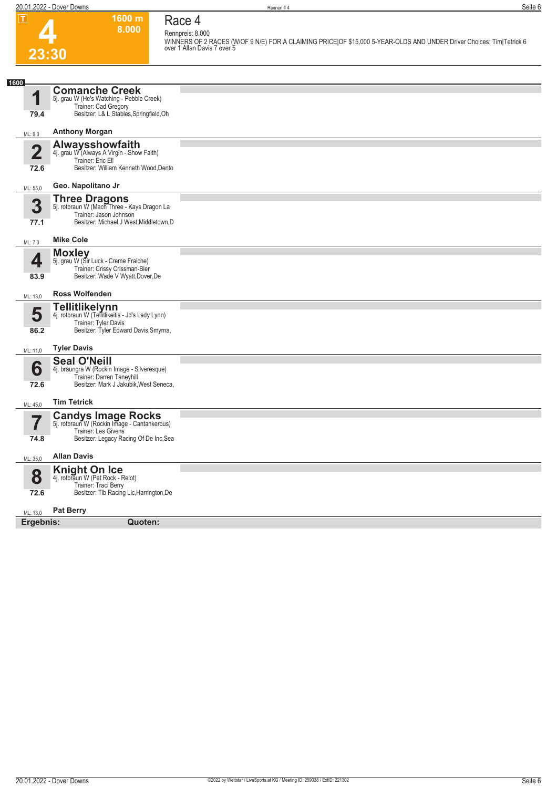**1600 m 8.000** 



## **Race 4 Rennpreis: 8.000**

**WINNERS OF 2 RACES (W/OF 9 N/E) FOR A CLAIMING PRICE|OF \$15,000 5-YEAR-OLDS AND UNDER Driver Choices: Tim|Tetrick 6 over 1 Allan Davis 7 over 5** 

| 1600                   |                                                                                                                                                                  |  |
|------------------------|------------------------------------------------------------------------------------------------------------------------------------------------------------------|--|
| 1<br>79.4              | <b>Comanche Creek</b><br>5j. grau W (He's Watching - Pebble Creek)<br>Trainer: Cad Gregory<br>Besitzer: L& L Stables, Springfield, Oh                            |  |
| ML: 9,0                | <b>Anthony Morgan</b>                                                                                                                                            |  |
| $\overline{2}$<br>72.6 | <b>Alwaysshowfaith</b><br>4j. grau W (Always A Virgin - Show Faith)<br>Trainer: Eric Ell<br>Besitzer: William Kenneth Wood, Dento                                |  |
| ML: 55,0               | Geo. Napolitano Jr                                                                                                                                               |  |
| 3<br>77.1              | Three Dragons<br>5j. rotbraun W (Mach Three - Kays Dragon La<br>Trainer: Jason Johnson<br>Besitzer: Michael J West, Middletown, D                                |  |
| ML: 7,0                | <b>Mike Cole</b>                                                                                                                                                 |  |
| 4<br>83.9              | <b>Moxley</b><br>5j. grau W (Sir Luck - Creme Fraiche)<br>Trainer: Crissy Crissman-Bier<br>Besitzer: Wade V Wyatt, Dover, De                                     |  |
| ML: 13,0               | <b>Ross Wolfenden</b>                                                                                                                                            |  |
| 5<br>86.2              | <b>Tellitlikelynn</b><br>4j. rotbraun W (Tellitlikeitis - Jd's Lady Lynn)<br>Trainer: Tyler Davis<br>Besitzer: Tyler Edward Davis, Smyrna,<br><b>Tyler Davis</b> |  |
| ML: 11,0               |                                                                                                                                                                  |  |
| 6<br>72.6              | <b>Seal O'Neill</b><br>4j. braungra W (Rockin Image - Silveresque)<br>Trainer: Darren Taneyhill<br>Besitzer: Mark J Jakubik, West Seneca,                        |  |
| ML: 45,0               | <b>Tim Tetrick</b>                                                                                                                                               |  |
| ſ<br>74.8              | <b>Candys Image Rocks</b><br>5j. rotbraun W (Rockin Image - Cantankerous)<br><b>Trainer: Les Givens</b><br>Besitzer: Legacy Racing Of De Inc, Sea                |  |
| ML: 35,0               | <b>Allan Davis</b>                                                                                                                                               |  |
| 8<br>72.6              | <b>Knight On Ice</b><br>4j. rotbraun W (Pet Rock - Relot)<br>Trainer: Traci Berry<br>Besitzer: Tlb Racing Llc, Harrington, De                                    |  |
| ML: 13,0               | <b>Pat Berry</b>                                                                                                                                                 |  |
| Ergebnis:              | Quoten:                                                                                                                                                          |  |
|                        |                                                                                                                                                                  |  |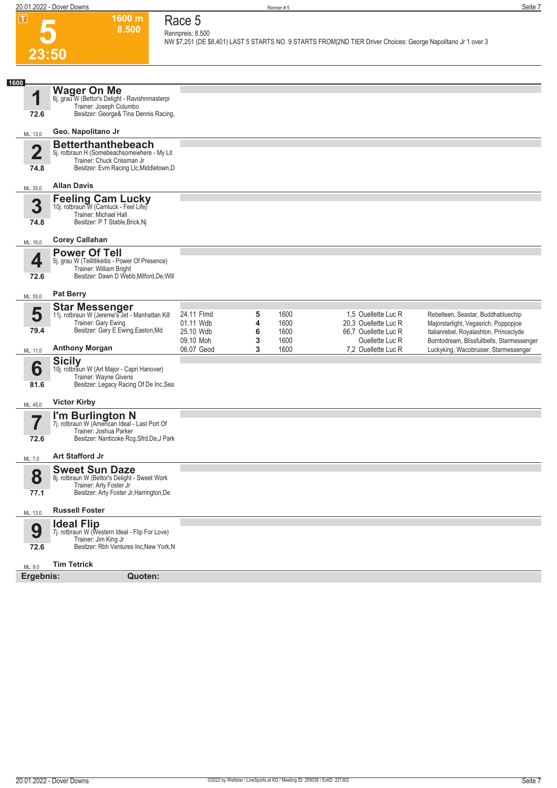**1600 m 8.500** 

**Race 5 Rennpreis: 8.500**

**NW \$7,251 (DE \$8,401) LAST 5 STARTS NO. 9 STARTS FROM|2ND TIER Driver Choices: George Napolitano Jr 1 over 3** 

## **5 23:50**

| 1600<br>1<br>72.6<br>ML: 13,0<br>$\overline{2}$<br>74.8<br>ML: 35,0<br>3<br>74.8<br>ML: 16,0 | <b>Wager On Me</b><br>6j. grau W (Bettor's Delight - Ravishnmasterpi<br>Trainer: Joseph Columbo<br>Besitzer: George& Tina Dennis Racing,<br>Geo. Napolitano Jr<br><b>Betterthanthebeach</b><br>5j. rotbraun H (Somebeachsomewhere - My Lit<br>Trainer: Chuck Crissman Jr<br>Besitzer: Evm Racing Llc, Middletown, D<br><b>Allan Davis</b><br>Feeling Cam Lucky<br>10j. rotbraun W (Camluck - Feel Life)<br><b>Trainer: Michael Hall</b><br>Besitzer: P T Stable, Brick, Nj<br><b>Corey Callahan</b><br><b>Power Of Tell</b><br>5j. grau W (Tellitlikeitis - Power Of Presence)<br>Trainer: William Bright |                                      |             |                      |                                                                |                                                                                                                               |
|----------------------------------------------------------------------------------------------|-----------------------------------------------------------------------------------------------------------------------------------------------------------------------------------------------------------------------------------------------------------------------------------------------------------------------------------------------------------------------------------------------------------------------------------------------------------------------------------------------------------------------------------------------------------------------------------------------------------|--------------------------------------|-------------|----------------------|----------------------------------------------------------------|-------------------------------------------------------------------------------------------------------------------------------|
|                                                                                              |                                                                                                                                                                                                                                                                                                                                                                                                                                                                                                                                                                                                           |                                      |             |                      |                                                                |                                                                                                                               |
|                                                                                              |                                                                                                                                                                                                                                                                                                                                                                                                                                                                                                                                                                                                           |                                      |             |                      |                                                                |                                                                                                                               |
|                                                                                              |                                                                                                                                                                                                                                                                                                                                                                                                                                                                                                                                                                                                           |                                      |             |                      |                                                                |                                                                                                                               |
|                                                                                              |                                                                                                                                                                                                                                                                                                                                                                                                                                                                                                                                                                                                           |                                      |             |                      |                                                                |                                                                                                                               |
|                                                                                              |                                                                                                                                                                                                                                                                                                                                                                                                                                                                                                                                                                                                           |                                      |             |                      |                                                                |                                                                                                                               |
|                                                                                              |                                                                                                                                                                                                                                                                                                                                                                                                                                                                                                                                                                                                           |                                      |             |                      |                                                                |                                                                                                                               |
|                                                                                              |                                                                                                                                                                                                                                                                                                                                                                                                                                                                                                                                                                                                           |                                      |             |                      |                                                                |                                                                                                                               |
|                                                                                              |                                                                                                                                                                                                                                                                                                                                                                                                                                                                                                                                                                                                           |                                      |             |                      |                                                                |                                                                                                                               |
| 4                                                                                            |                                                                                                                                                                                                                                                                                                                                                                                                                                                                                                                                                                                                           |                                      |             |                      |                                                                |                                                                                                                               |
| 72.6                                                                                         | Besitzer: Dawn D Webb, Milford, De; Will                                                                                                                                                                                                                                                                                                                                                                                                                                                                                                                                                                  |                                      |             |                      |                                                                |                                                                                                                               |
| ML: 55,0                                                                                     | <b>Pat Berry</b>                                                                                                                                                                                                                                                                                                                                                                                                                                                                                                                                                                                          |                                      |             |                      |                                                                |                                                                                                                               |
| 5                                                                                            | <b>Star Messenger</b>                                                                                                                                                                                                                                                                                                                                                                                                                                                                                                                                                                                     | 24.11 Flmd                           | 5           | 1600                 | 1.5 Ouellette Luc R                                            | Rebelteen, Seastar, Buddhabluechip                                                                                            |
|                                                                                              | 11j. rotbraun W (Jereme's Jet - Manhattan Kill<br>Trainer: Gary Ewing                                                                                                                                                                                                                                                                                                                                                                                                                                                                                                                                     | 01.11 Wdb                            | 4           | 1600                 | 20,3 Ouellette Luc R                                           | Majorstarlight, Vegasrich, Poppopjoe                                                                                          |
| 79.4                                                                                         | Besitzer: Gary E Ewing, Easton, Md<br><b>Anthony Morgan</b>                                                                                                                                                                                                                                                                                                                                                                                                                                                                                                                                               | 25.10 Wdb<br>09.10 Moh<br>06.07 Geod | 6<br>3<br>3 | 1600<br>1600<br>1600 | 66.7 Ouellette Luc R<br>Ouellette Luc R<br>7,2 Ouellette Luc R | Italianrebel, Royalashton, Princeclyde<br>Borntodream, Blissfullbells, Starmessenger<br>Luckyking, Wacobruiser, Starmessenger |
| ML: 11,0                                                                                     | <b>Sicily</b>                                                                                                                                                                                                                                                                                                                                                                                                                                                                                                                                                                                             |                                      |             |                      |                                                                |                                                                                                                               |
| 6                                                                                            | 10j. rotbraun W (Art Major - Capri Hanover)<br>Trainer: Wayne Givens                                                                                                                                                                                                                                                                                                                                                                                                                                                                                                                                      |                                      |             |                      |                                                                |                                                                                                                               |
| 81.6                                                                                         | Besitzer: Legacy Racing Of De Inc, Sea                                                                                                                                                                                                                                                                                                                                                                                                                                                                                                                                                                    |                                      |             |                      |                                                                |                                                                                                                               |
| ML: 45,0                                                                                     | <b>Victor Kirby</b>                                                                                                                                                                                                                                                                                                                                                                                                                                                                                                                                                                                       |                                      |             |                      |                                                                |                                                                                                                               |
| 7                                                                                            | I'm Burlington N<br>7j. rotbraun W (American Ideal - Last Port Of                                                                                                                                                                                                                                                                                                                                                                                                                                                                                                                                         |                                      |             |                      |                                                                |                                                                                                                               |
| 72.6                                                                                         | Trainer: Joshua Parker<br>Besitzer: Nanticoke Rcg, Sfrd, De; J Park                                                                                                                                                                                                                                                                                                                                                                                                                                                                                                                                       |                                      |             |                      |                                                                |                                                                                                                               |
| ML: 7,0                                                                                      | Art Stafford Jr                                                                                                                                                                                                                                                                                                                                                                                                                                                                                                                                                                                           |                                      |             |                      |                                                                |                                                                                                                               |
|                                                                                              | <b>Sweet Sun Daze</b>                                                                                                                                                                                                                                                                                                                                                                                                                                                                                                                                                                                     |                                      |             |                      |                                                                |                                                                                                                               |
| 8                                                                                            | 8j. rotbraun W (Bettor's Delight - Sweet Work<br>Trainer: Arty Foster Jr                                                                                                                                                                                                                                                                                                                                                                                                                                                                                                                                  |                                      |             |                      |                                                                |                                                                                                                               |
| 77.1                                                                                         | Besitzer: Arty Foster Jr, Harrington, De                                                                                                                                                                                                                                                                                                                                                                                                                                                                                                                                                                  |                                      |             |                      |                                                                |                                                                                                                               |
| ML: 13,0                                                                                     | <b>Russell Foster</b>                                                                                                                                                                                                                                                                                                                                                                                                                                                                                                                                                                                     |                                      |             |                      |                                                                |                                                                                                                               |
| 9<br>72.6                                                                                    | <b>Ideal Flip</b><br>7j. rotbraun W (Western Ideal - Flip For Love)<br>Trainer: Jim King Jr<br>Besitzer: Rbh Ventures Inc.New York.N                                                                                                                                                                                                                                                                                                                                                                                                                                                                      |                                      |             |                      |                                                                |                                                                                                                               |
|                                                                                              |                                                                                                                                                                                                                                                                                                                                                                                                                                                                                                                                                                                                           |                                      |             |                      |                                                                |                                                                                                                               |
| ML: 9,0<br>Ergebnis:                                                                         | <b>Tim Tetrick</b><br>Quoten:                                                                                                                                                                                                                                                                                                                                                                                                                                                                                                                                                                             |                                      |             |                      |                                                                |                                                                                                                               |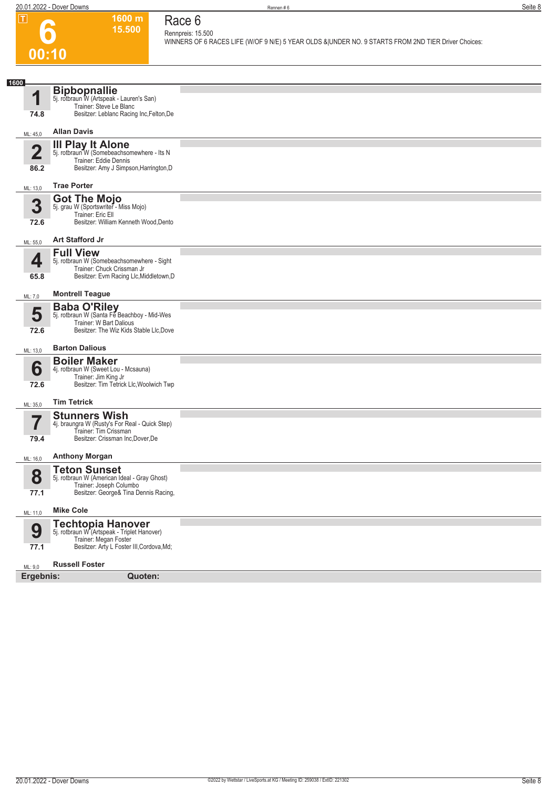**1600 m 15.500** 

**Race 6 Rennpreis: 15.500**

**WINNERS OF 6 RACES LIFE (W/OF 9 N/E) 5 YEAR OLDS &|UNDER NO. 9 STARTS FROM 2ND TIER Driver Choices:** 

# **6 00:10**

| 1600<br>1               | <b>Bipbopnallie</b><br>5j. rotbraun W (Artspeak - Lauren's San)                                  |  |
|-------------------------|--------------------------------------------------------------------------------------------------|--|
|                         | Trainer: Steve Le Blanc                                                                          |  |
| 74.8                    | Besitzer: Leblanc Racing Inc, Felton, De                                                         |  |
| ML: 45,0                | <b>Allan Davis</b>                                                                               |  |
|                         | III Play It Alone                                                                                |  |
| $\overline{\mathbf{2}}$ | 5j. rotbraun W (Somebeachsomewhere - Its N<br>Trainer: Eddie Dennis                              |  |
| 86.2                    | Besitzer: Amy J Simpson, Harrington, D                                                           |  |
| ML: 13,0                | <b>Trae Porter</b>                                                                               |  |
| 3                       | <b>Got The Mojo</b>                                                                              |  |
|                         | 5j. grau W (Sportswriter - Miss Mojo)<br>Trainer: Eric Ell                                       |  |
| 72.6                    | Besitzer: William Kenneth Wood, Dento                                                            |  |
| ML: 55,0                | <b>Art Stafford Jr</b>                                                                           |  |
| 4                       | <b>Full View</b><br>5j. rotbraun W (Somebeachsomewhere - Sight                                   |  |
|                         | Trainer: Chuck Crissman Jr                                                                       |  |
| 65.8                    | Besitzer: Evm Racing Llc, Middletown, D                                                          |  |
| ML: 7,0                 | <b>Montrell Teague</b>                                                                           |  |
| 5                       | <b>Baba O'Riley</b><br>5j. rotbraun W (Santa Fe Beachboy - Mid-Wes                               |  |
| 72.6                    | Trainer: W Bart Dalious<br>Besitzer: The Wiz Kids Stable Llc, Dove                               |  |
|                         |                                                                                                  |  |
| ML: 13,0                | <b>Barton Dalious</b>                                                                            |  |
| 6                       | <b>Boiler Maker</b><br>4j. rotbraun W (Sweet Lou - Mcsauna)                                      |  |
| 72.6                    | Trainer: Jim King Jr<br>Besitzer: Tim Tetrick Llc, Woolwich Twp                                  |  |
|                         |                                                                                                  |  |
| ML: 35,0                | <b>Tim Tetrick</b>                                                                               |  |
| 7                       | <b>Stunners Wish</b><br>4j. braungra W (Rusty's For Real - Quick Step)                           |  |
| 79.4                    | Trainer: Tim Crissman<br>Besitzer: Crissman Inc, Dover, De                                       |  |
|                         |                                                                                                  |  |
| ML: 16,0                | <b>Anthony Morgan</b>                                                                            |  |
| 8                       | <b>Teton Sunset</b><br>5j. rotbraun W (American Ideal - Gray Ghost)                              |  |
| 77.1                    | Trainer: Joseph Columbo<br>Besitzer: George& Tina Dennis Racing,                                 |  |
|                         | <b>Mike Cole</b>                                                                                 |  |
| ML: 11,0                |                                                                                                  |  |
| 9                       | <b>Techtopia Hanover</b><br>5j. rotbraun W (Artspeak - Triplet Hanover)<br>Trainer: Megan Foster |  |
| 77.1                    | Besitzer: Arty L Foster III, Cordova, Md;                                                        |  |
| ML: 9,0                 | <b>Russell Foster</b>                                                                            |  |
|                         | Ergebnis:                                                                                        |  |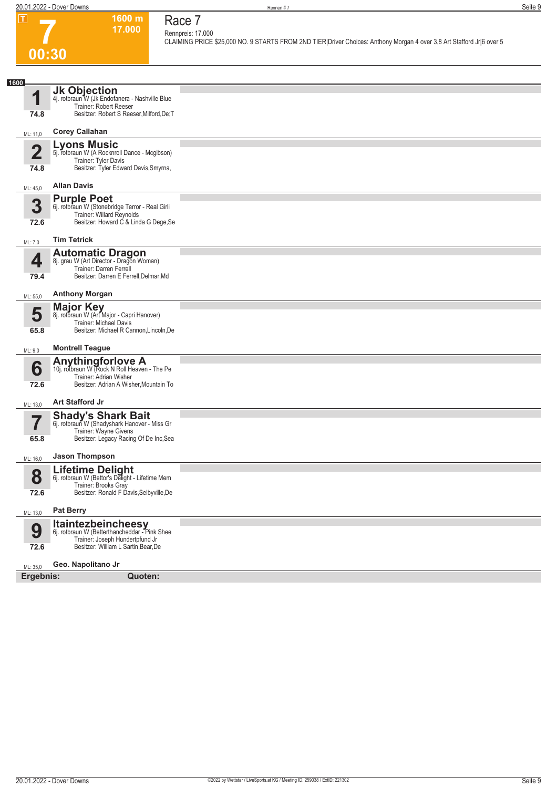# **7 00:30**

**Race 7**

**Rennpreis: 17.000**

**1600 m 17.000** 

**CLAIMING PRICE \$25,000 NO. 9 STARTS FROM 2ND TIER|Driver Choices: Anthony Morgan 4 over 3,8 Art Stafford Jr|6 over 5** 

| 1600      |                                                                                                                                                       |  |
|-----------|-------------------------------------------------------------------------------------------------------------------------------------------------------|--|
| 1         | Jk Objection<br>4j. rotbraun W (Jk Endofanera - Nashville Blue<br>Trainer: Robert Reeser                                                              |  |
| 74.8      | Besitzer: Robert S Reeser, Milford, De; T                                                                                                             |  |
| ML: 11,0  | <b>Corey Callahan</b>                                                                                                                                 |  |
| ŋ<br>74.8 | <b>Lyons Music</b><br>5j. rotbraun W (A Rocknroll Dance - Mcgibson)<br>Trainer: Tyler Davis<br>Besitzer: Tyler Edward Davis, Smyrna,                  |  |
|           | <b>Allan Davis</b>                                                                                                                                    |  |
| ML: 45,0  | <b>Purple Poet</b>                                                                                                                                    |  |
| 3<br>72.6 | 6j. rotbraun W (Stonebridge Terror - Real Girli<br>Trainer: Willard Reynolds<br>Besitzer: Howard C & Linda G Dege, Se                                 |  |
| ML: 7,0   | <b>Tim Tetrick</b>                                                                                                                                    |  |
| 4<br>79.4 | <b>Automatic Dragon</b><br>8j. grau W (Art Director - Dragon Woman)<br>Trainer: Darren Ferrell<br>Besitzer: Darren E Ferrell, Delmar, Md              |  |
| ML: 55,0  | <b>Anthony Morgan</b>                                                                                                                                 |  |
| 5<br>65.8 | <b>Major Key</b><br>8j. rotbraun W (Art Major - Capri Hanover)<br>Trainer: Michael Davis<br>Besitzer: Michael R Cannon, Lincoln, De                   |  |
| ML: 9,0   | <b>Montrell Teague</b>                                                                                                                                |  |
| 6<br>72.6 | <b>Anythingforlove A</b><br>10j. rotbraun W (Rock N Roll Heaven - The Pe<br>Trainer: Adrian Wisher<br>Besitzer: Adrian A Wisher, Mountain To          |  |
| ML: 13,0  | <b>Art Stafford Jr</b>                                                                                                                                |  |
| –         | <b>Shady's Shark Bait</b><br>6j. rotbraun W (Shadyshark Hanover - Miss Gr<br>Trainer: Wayne Givens<br>Besitzer: Legacy Racing Of De Inc, Sea          |  |
| 65.8      |                                                                                                                                                       |  |
| ML: 16,0  | <b>Jason Thompson</b>                                                                                                                                 |  |
| 8         | Lifetime Delight<br>6j. rotbraun W (Bettor's Delight - Lifetime Mem<br>Trainer: Brooks Gray                                                           |  |
| 72.6      | Besitzer: Ronald F Davis, Selbyville, De                                                                                                              |  |
| ML: 13,0  | <b>Pat Berry</b>                                                                                                                                      |  |
| 9<br>72.6 | <b>Itaintezbeincheesy</b><br>6j. rotbraun W (Betterthancheddar - Pink Shee<br>Trainer: Joseph Hundertpfund Jr<br>Besitzer: William L Sartin, Bear, De |  |
| ML: 35,0  | Geo. Napolitano Jr                                                                                                                                    |  |
| Ergebnis: | Quoten:                                                                                                                                               |  |
|           |                                                                                                                                                       |  |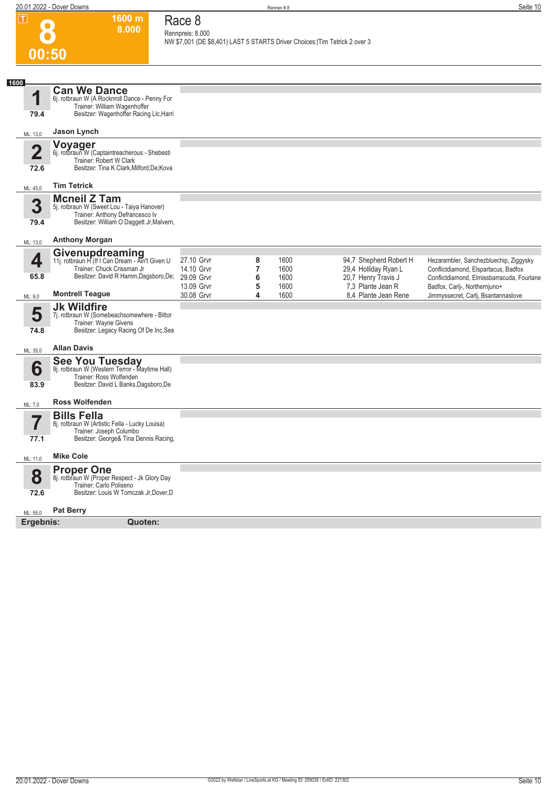**1600 m**

**Race 8**

**8** 

| 00:50<br>1600<br><b>Can We Dance</b><br>1<br>6j. rotbraun W (A Rocknroll Dance - Penny For<br>Trainer: William Wagenhoffer<br>Besitzer: Wagenhoffer Racing Llc, Harri<br>79.4<br>Jason Lynch<br>ML: 13,0<br>Voyager<br>6j. rotbraun W (Captaintreacherous - Shebesti<br>$\overline{\mathbf{2}}$<br>Trainer: Robert W Clark<br>Besitzer: Tina K Clark, Milford, De; Kova<br>72.6<br><b>Tim Tetrick</b><br>ML: 45,0<br><b>Mcneil Z Tam</b><br>3<br>5j. rotbraun W (Sweet Lou - Taiya Hanover)<br>Trainer: Anthony Defrancesco Iv<br>Besitzer: William O Daggett Jr, Malvern,<br>79.4<br><b>Anthony Morgan</b><br>ML: 13,0<br>Givenupdreaming<br>11j. rotbraun H (If I Can Dream - Ain't Given U<br>4<br>27.10 Grvr<br>8<br>1600<br>94,7 Shepherd Robert H<br>Hezarambler, Sanchezbluechip, Ziggysky<br>Trainer: Chuck Crissman Jr<br>$\overline{\mathbf{r}}$<br>14.10 Grvr<br>1600<br>29,4 Holliday Ryan L<br>Conflictdiamond, Elspartacus, Badfox<br>Besitzer: David R Hamm, Dagsboro, De; 29.09 Grvr<br>65.8<br>6<br>20,7 Henry Travis J<br>1600<br>13.09 Grvr<br>5<br>1600<br>7,3 Plante Jean R<br>Badfox, Carlj-, Northernjuno+<br><b>Montrell Teague</b><br>30.08 Grvr<br>4<br>1600<br>8.4 Plante Jean Rene<br>Jimmyssecret, Carlj, Bsantannaslove<br>ML: 9,0<br><b>Jk Wildfire</b><br>5<br>7j. rotbraun W (Somebeachsomewhere - Bittor<br>Trainer: Wayne Givens<br>Besitzer: Legacy Racing Of De Inc, Sea<br>74.8<br><b>Allan Davis</b><br>ML: 35,0<br>See You Tuesday<br>9j. rotbraun W (Western Terror - Maytime Hall)<br>6<br>Trainer: Ross Wolfenden<br>Besitzer: David L Banks, Dagsboro, De<br>83.9<br><b>Ross Wolfenden</b><br>ML: 7,0<br><b>Bills Fella</b><br>7<br>8j. rotbraun W (Artistic Fella - Lucky Louisa)<br>Trainer: Joseph Columbo<br>Besitzer: George& Tina Dennis Racing,<br>77.1<br><b>Mike Cole</b><br>ML: 11,0<br><b>Proper One</b><br>8<br>8j. rotbraun W (Proper Respect - Jk Glory Day<br>Trainer: Carlo Poliseno<br>Besitzer: Louis W Tomczak Jr, Dover, D<br>72.6<br><b>Pat Berry</b><br>ML: 55,0<br>Ergebnis:<br>Quoten: | 8.000 | Rennpreis: 8.000 |  | NW \$7,001 (DE \$8,401) LAST 5 STARTS Driver Choices: Tim Tetrick 2 over 3 |                                            |
|------------------------------------------------------------------------------------------------------------------------------------------------------------------------------------------------------------------------------------------------------------------------------------------------------------------------------------------------------------------------------------------------------------------------------------------------------------------------------------------------------------------------------------------------------------------------------------------------------------------------------------------------------------------------------------------------------------------------------------------------------------------------------------------------------------------------------------------------------------------------------------------------------------------------------------------------------------------------------------------------------------------------------------------------------------------------------------------------------------------------------------------------------------------------------------------------------------------------------------------------------------------------------------------------------------------------------------------------------------------------------------------------------------------------------------------------------------------------------------------------------------------------------------------------------------------------------------------------------------------------------------------------------------------------------------------------------------------------------------------------------------------------------------------------------------------------------------------------------------------------------------------------------------------------------------------------------------------------------------------------------------------------------------------------------------|-------|------------------|--|----------------------------------------------------------------------------|--------------------------------------------|
|                                                                                                                                                                                                                                                                                                                                                                                                                                                                                                                                                                                                                                                                                                                                                                                                                                                                                                                                                                                                                                                                                                                                                                                                                                                                                                                                                                                                                                                                                                                                                                                                                                                                                                                                                                                                                                                                                                                                                                                                                                                            |       |                  |  |                                                                            |                                            |
|                                                                                                                                                                                                                                                                                                                                                                                                                                                                                                                                                                                                                                                                                                                                                                                                                                                                                                                                                                                                                                                                                                                                                                                                                                                                                                                                                                                                                                                                                                                                                                                                                                                                                                                                                                                                                                                                                                                                                                                                                                                            |       |                  |  |                                                                            |                                            |
|                                                                                                                                                                                                                                                                                                                                                                                                                                                                                                                                                                                                                                                                                                                                                                                                                                                                                                                                                                                                                                                                                                                                                                                                                                                                                                                                                                                                                                                                                                                                                                                                                                                                                                                                                                                                                                                                                                                                                                                                                                                            |       |                  |  |                                                                            |                                            |
|                                                                                                                                                                                                                                                                                                                                                                                                                                                                                                                                                                                                                                                                                                                                                                                                                                                                                                                                                                                                                                                                                                                                                                                                                                                                                                                                                                                                                                                                                                                                                                                                                                                                                                                                                                                                                                                                                                                                                                                                                                                            |       |                  |  |                                                                            |                                            |
|                                                                                                                                                                                                                                                                                                                                                                                                                                                                                                                                                                                                                                                                                                                                                                                                                                                                                                                                                                                                                                                                                                                                                                                                                                                                                                                                                                                                                                                                                                                                                                                                                                                                                                                                                                                                                                                                                                                                                                                                                                                            |       |                  |  |                                                                            |                                            |
|                                                                                                                                                                                                                                                                                                                                                                                                                                                                                                                                                                                                                                                                                                                                                                                                                                                                                                                                                                                                                                                                                                                                                                                                                                                                                                                                                                                                                                                                                                                                                                                                                                                                                                                                                                                                                                                                                                                                                                                                                                                            |       |                  |  |                                                                            |                                            |
|                                                                                                                                                                                                                                                                                                                                                                                                                                                                                                                                                                                                                                                                                                                                                                                                                                                                                                                                                                                                                                                                                                                                                                                                                                                                                                                                                                                                                                                                                                                                                                                                                                                                                                                                                                                                                                                                                                                                                                                                                                                            |       |                  |  |                                                                            |                                            |
|                                                                                                                                                                                                                                                                                                                                                                                                                                                                                                                                                                                                                                                                                                                                                                                                                                                                                                                                                                                                                                                                                                                                                                                                                                                                                                                                                                                                                                                                                                                                                                                                                                                                                                                                                                                                                                                                                                                                                                                                                                                            |       |                  |  |                                                                            |                                            |
|                                                                                                                                                                                                                                                                                                                                                                                                                                                                                                                                                                                                                                                                                                                                                                                                                                                                                                                                                                                                                                                                                                                                                                                                                                                                                                                                                                                                                                                                                                                                                                                                                                                                                                                                                                                                                                                                                                                                                                                                                                                            |       |                  |  |                                                                            | Conflictdiamond, Elmissbarracuda, Fourlane |
|                                                                                                                                                                                                                                                                                                                                                                                                                                                                                                                                                                                                                                                                                                                                                                                                                                                                                                                                                                                                                                                                                                                                                                                                                                                                                                                                                                                                                                                                                                                                                                                                                                                                                                                                                                                                                                                                                                                                                                                                                                                            |       |                  |  |                                                                            |                                            |
|                                                                                                                                                                                                                                                                                                                                                                                                                                                                                                                                                                                                                                                                                                                                                                                                                                                                                                                                                                                                                                                                                                                                                                                                                                                                                                                                                                                                                                                                                                                                                                                                                                                                                                                                                                                                                                                                                                                                                                                                                                                            |       |                  |  |                                                                            |                                            |
|                                                                                                                                                                                                                                                                                                                                                                                                                                                                                                                                                                                                                                                                                                                                                                                                                                                                                                                                                                                                                                                                                                                                                                                                                                                                                                                                                                                                                                                                                                                                                                                                                                                                                                                                                                                                                                                                                                                                                                                                                                                            |       |                  |  |                                                                            |                                            |
|                                                                                                                                                                                                                                                                                                                                                                                                                                                                                                                                                                                                                                                                                                                                                                                                                                                                                                                                                                                                                                                                                                                                                                                                                                                                                                                                                                                                                                                                                                                                                                                                                                                                                                                                                                                                                                                                                                                                                                                                                                                            |       |                  |  |                                                                            |                                            |
|                                                                                                                                                                                                                                                                                                                                                                                                                                                                                                                                                                                                                                                                                                                                                                                                                                                                                                                                                                                                                                                                                                                                                                                                                                                                                                                                                                                                                                                                                                                                                                                                                                                                                                                                                                                                                                                                                                                                                                                                                                                            |       |                  |  |                                                                            |                                            |
|                                                                                                                                                                                                                                                                                                                                                                                                                                                                                                                                                                                                                                                                                                                                                                                                                                                                                                                                                                                                                                                                                                                                                                                                                                                                                                                                                                                                                                                                                                                                                                                                                                                                                                                                                                                                                                                                                                                                                                                                                                                            |       |                  |  |                                                                            |                                            |
|                                                                                                                                                                                                                                                                                                                                                                                                                                                                                                                                                                                                                                                                                                                                                                                                                                                                                                                                                                                                                                                                                                                                                                                                                                                                                                                                                                                                                                                                                                                                                                                                                                                                                                                                                                                                                                                                                                                                                                                                                                                            |       |                  |  |                                                                            |                                            |
|                                                                                                                                                                                                                                                                                                                                                                                                                                                                                                                                                                                                                                                                                                                                                                                                                                                                                                                                                                                                                                                                                                                                                                                                                                                                                                                                                                                                                                                                                                                                                                                                                                                                                                                                                                                                                                                                                                                                                                                                                                                            |       |                  |  |                                                                            |                                            |
|                                                                                                                                                                                                                                                                                                                                                                                                                                                                                                                                                                                                                                                                                                                                                                                                                                                                                                                                                                                                                                                                                                                                                                                                                                                                                                                                                                                                                                                                                                                                                                                                                                                                                                                                                                                                                                                                                                                                                                                                                                                            |       |                  |  |                                                                            |                                            |
|                                                                                                                                                                                                                                                                                                                                                                                                                                                                                                                                                                                                                                                                                                                                                                                                                                                                                                                                                                                                                                                                                                                                                                                                                                                                                                                                                                                                                                                                                                                                                                                                                                                                                                                                                                                                                                                                                                                                                                                                                                                            |       |                  |  |                                                                            |                                            |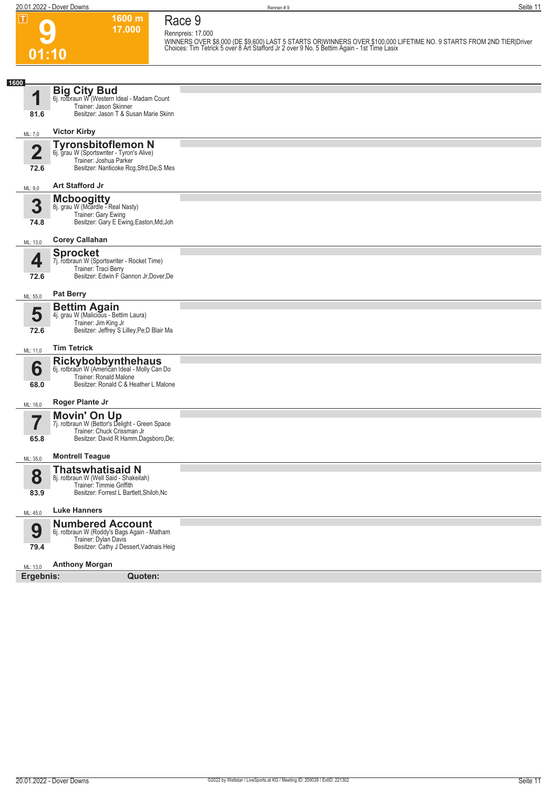**01:10**

**9**

**1600 m 17.000**  **Race 9**

**Rennpreis: 17.000**

WINNERS OVER \$8,000 (DE \$9,600) LAST 5 STARTS ORIWINNERS OVER \$100,000 LIFETIME NO. 9 STARTS FROM 2ND TIER|Driver<br>Choices: Tim Tetrick 5 over 8 Art Stafford Jr 2 over 9 No. 5 Bettim Again - 1st Time Lasix

| 1600                            |                                                                                                                                               |  |
|---------------------------------|-----------------------------------------------------------------------------------------------------------------------------------------------|--|
| 4<br>81.6                       | <b>Big City Bud</b><br>6j. rotbraun W (Western Ideal - Madam Count<br>Trainer: Jason Skinner<br>Besitzer: Jason T & Susan Marie Skinn         |  |
|                                 | <b>Victor Kirby</b>                                                                                                                           |  |
| ML: 7,0                         |                                                                                                                                               |  |
| $\overline{\mathbf{2}}$         | <b>Tyronsbitoflemon N</b><br>6j. grau W (Sportswriter - Tyron's Alive)<br>Trainer: Joshua Parker                                              |  |
| 72.6                            | Besitzer: Nanticoke Rcg, Sfrd, De; S Mes                                                                                                      |  |
| ML: 9,0                         | <b>Art Stafford Jr</b>                                                                                                                        |  |
| 3<br>74.8                       | <b>Mcboogitty</b><br>8j. grau W (Mcardle - Real Nasty)<br>Trainer: Gary Ewing<br>Besitzer: Gary E Ewing, Easton, Md; Joh                      |  |
| ML: 13,0                        | <b>Corey Callahan</b>                                                                                                                         |  |
| 4                               | <b>Sprocket</b><br>7j. rotbraun W (Sportswriter - Rocket Time)                                                                                |  |
| 72.6                            | Trainer: Traci Berry<br>Besitzer: Edwin F Gannon Jr, Dover, De                                                                                |  |
| ML: 55,0                        | <b>Pat Berry</b>                                                                                                                              |  |
| 5<br>72.6                       | <b>Bettim Again</b><br>4j. grau W (Malicious - Bettim Laura)<br>Trainer: Jim King Jr<br>Besitzer: Jeffrey S Lilley, Pe; D Blair Ma            |  |
| ML: 11,0                        | <b>Tim Tetrick</b>                                                                                                                            |  |
| 6<br>68.0                       | <b>Rickybobbynthehaus</b><br>6j. rotbraun W (American Ideal - Molly Can Do<br>Trainer: Ronald Malone<br>Besitzer: Ronald C & Heather L Malone |  |
| ML: 16,0                        | <b>Roger Plante Jr</b>                                                                                                                        |  |
| $\overline{\mathbf{7}}$<br>65.8 | <b>Movin' On Up</b><br>7j. rotbraun W (Bettor's Delight - Green Space<br>Trainer: Chuck Crissman Jr<br>Besitzer: David R Hamm, Dagsboro, De;  |  |
| ML: 35,0                        | <b>Montrell Teague</b>                                                                                                                        |  |
| 8<br>83.9                       | <b>Thatswhatisaid N</b><br>8j. rotbraun W (Well Said - Shakeilah)<br>Trainer: Timmie Griffith<br>Besitzer: Forrest L Bartlett, Shiloh, Nc     |  |
| ML: 45,0                        | <b>Luke Hanners</b>                                                                                                                           |  |
| 9<br>79.4                       | <b>Numbered Account</b><br>6j. rotbraun W (Roddy's Bags Again - Matham<br>Trainer: Dylan Davis<br>Besitzer: Cathy J Dessert, Vadnais Heig     |  |
| ML: 13,0                        | <b>Anthony Morgan</b>                                                                                                                         |  |
| Ergebnis:                       | Quoten:                                                                                                                                       |  |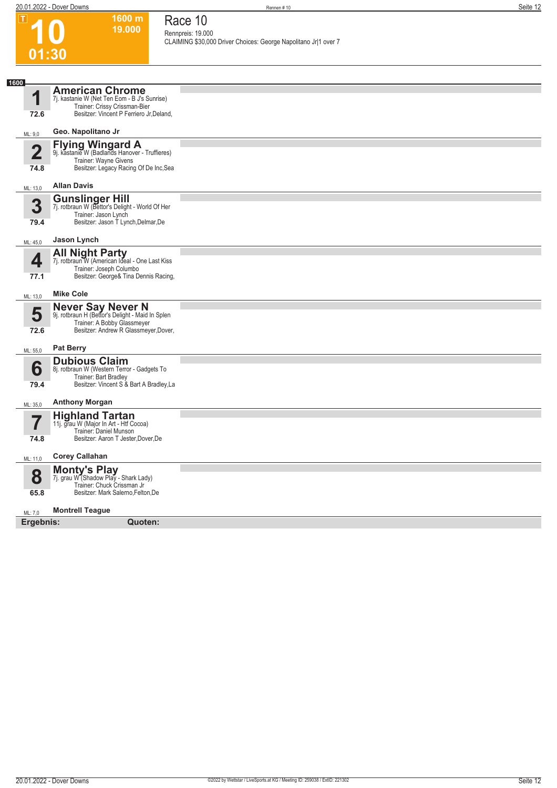$\boxed{\mathbf{I}}$ 

**1600 m 19.000**  **Race 10**

| ய                       | 1999 H.L<br>19.000                                                                         | Race TO                                                                              |
|-------------------------|--------------------------------------------------------------------------------------------|--------------------------------------------------------------------------------------|
|                         |                                                                                            | Rennpreis: 19.000<br>CLAIMING \$30,000 Driver Choices: George Napolitano Jr 1 over 7 |
| 01:30                   |                                                                                            |                                                                                      |
|                         |                                                                                            |                                                                                      |
| 1600                    |                                                                                            |                                                                                      |
| 1                       | <b>American Chrome</b><br>7j. kastanie W (Net Ten Eom - B J's Sunrise)                     |                                                                                      |
|                         | Trainer: Crissy Crissman-Bier<br>Besitzer: Vincent P Ferriero Jr, Deland,                  |                                                                                      |
| 72.6                    |                                                                                            |                                                                                      |
| ML: 9,0                 | Geo. Napolitano Jr                                                                         |                                                                                      |
| $\overline{\mathbf{2}}$ | <b>Flying Wingard A</b><br>9j. kastanie W (Badlands Hanover - Truffieres)                  |                                                                                      |
|                         | Trainer: Wayne Givens                                                                      |                                                                                      |
| 74.8                    | Besitzer: Legacy Racing Of De Inc, Sea                                                     |                                                                                      |
| ML: 13,0                | <b>Allan Davis</b>                                                                         |                                                                                      |
| 3                       | <b>Gunslinger Hill</b><br>7j. rotbraun W (Bettor's Delight - World Of Her                  |                                                                                      |
|                         | Trainer: Jason Lynch                                                                       |                                                                                      |
| 79.4                    | Besitzer: Jason T Lynch, Delmar, De                                                        |                                                                                      |
| ML: 45,0                | Jason Lynch                                                                                |                                                                                      |
| 4                       | <b>All Night Party</b><br>7j. rotbraun W (American Ideal - One Last Kiss                   |                                                                                      |
|                         | Trainer: Joseph Columbo                                                                    |                                                                                      |
| 77.1                    | Besitzer: George& Tina Dennis Racing,                                                      |                                                                                      |
| ML: 13,0                | <b>Mike Cole</b>                                                                           |                                                                                      |
| 5                       | Never Say Never N<br>9j. rotbraun H (Bettor's Delight - Maid In Splen                      |                                                                                      |
|                         | Trainer: A Bobby Glassmeyer                                                                |                                                                                      |
| 72.6                    | Besitzer: Andrew R Glassmeyer, Dover,                                                      |                                                                                      |
| ML: 55,0                | <b>Pat Berry</b>                                                                           |                                                                                      |
|                         | <b>Dubious Claim</b>                                                                       |                                                                                      |
| 6                       | 8j. rotbraun W (Western Terror - Gadgets To<br>Trainer: Bart Bradley                       |                                                                                      |
| 79.4                    | Besitzer: Vincent S & Bart A Bradley, La                                                   |                                                                                      |
| ML: 35,0                | <b>Anthony Morgan</b>                                                                      |                                                                                      |
|                         | <b>Highland Tartan</b>                                                                     |                                                                                      |
|                         | 11j. grau W (Major In Art - Htf Cocoa)<br>Trainer: Daniel Munson                           |                                                                                      |
| 74.8                    | Besitzer: Aaron T Jester, Dover, De                                                        |                                                                                      |
| ML: 11,0                | <b>Corey Callahan</b>                                                                      |                                                                                      |
|                         | <b>Monty's Play</b><br>7j. grau W (Shadow Play - Shark Lady)<br>Trainer: Chuck Crissman Jr |                                                                                      |
| 8                       |                                                                                            |                                                                                      |
| 65.8                    | Besitzer: Mark Salerno, Felton, De                                                         |                                                                                      |
| ML: 7,0                 | <b>Montrell Teague</b>                                                                     |                                                                                      |
| Ergebnis:               | Quoten:                                                                                    |                                                                                      |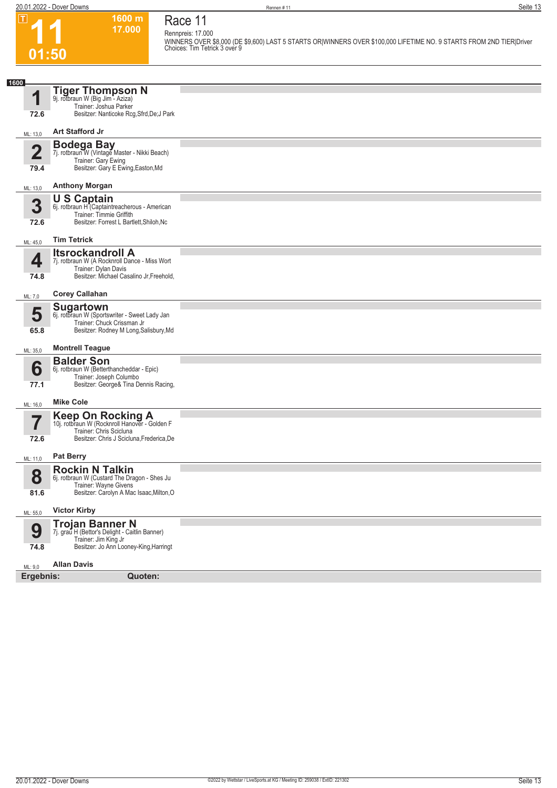**11**

 $\boxed{1}$ 

**01:50**

#### **1600 m 17.000 Race 11**

**Rennpreis: 17.000 WINNERS OVER \$8,000 (DE \$9,600) LAST 5 STARTS OR|WINNERS OVER \$100,000 LIFETIME NO. 9 STARTS FROM 2ND TIER|Driver Choices: Tim Tetrick 3 over 9** 

| 1600                    |                                                                                  |  |
|-------------------------|----------------------------------------------------------------------------------|--|
|                         | <b>Tiger Thompson N</b><br>9j. rotbraun W (Big Jim - Aziza)                      |  |
|                         | Trainer: Joshua Parker                                                           |  |
| 72.6                    | Besitzer: Nanticoke Rcg, Sfrd, De; J Park                                        |  |
| ML: 13,0                | Art Stafford Jr                                                                  |  |
| $\overline{\mathbf{2}}$ | <b>Bodega Bay</b><br>7j. rotbraun W (Vintage Master - Nikki Beach)               |  |
|                         | Trainer: Gary Ewing                                                              |  |
| 79.4                    | Besitzer: Gary E Ewing, Easton, Md                                               |  |
| ML: 13,0                | <b>Anthony Morgan</b>                                                            |  |
| 3                       | <b>U S Captain</b><br>6j. rotbraun H <sup>"</sup> (Captaintreacherous - American |  |
|                         | Trainer: Timmie Griffith                                                         |  |
| 72.6                    | Besitzer: Forrest L Bartlett, Shiloh, Nc                                         |  |
| ML: 45,0                | <b>Tim Tetrick</b>                                                               |  |
| 4                       | <b>Itsrockandroll A</b><br>7j. rotbraun W (A Rocknroll Dance - Miss Wort         |  |
|                         | Trainer: Dylan Davis                                                             |  |
| 74.8                    | Besitzer: Michael Casalino Jr, Freehold,                                         |  |
| ML: 7,0                 | <b>Corey Callahan</b>                                                            |  |
| 5                       | <b>Sugartown</b><br>6j. rotbraun W (Sportswriter - Sweet Lady Jan                |  |
|                         | Trainer: Chuck Crissman Jr                                                       |  |
| 65.8                    | Besitzer: Rodney M Long, Salisbury, Md                                           |  |
| ML: 35,0                | <b>Montrell Teague</b>                                                           |  |
|                         | <b>Balder Son</b>                                                                |  |
| 6                       | 6j. rotbraun W (Betterthancheddar - Epic)<br>Trainer: Joseph Columbo             |  |
| 77.1                    | Besitzer: George& Tina Dennis Racing,                                            |  |
| ML: 16,0                | <b>Mike Cole</b>                                                                 |  |
|                         | Keep On Rocking A<br>10j. rotbraun W (Rocknroll Hanover - Golden F               |  |
|                         | Trainer: Chris Scicluna                                                          |  |
| 72.6                    | Besitzer: Chris J Scicluna, Frederica, De                                        |  |
| ML: 11,0                | <b>Pat Berry</b>                                                                 |  |
|                         | <b>Rockin N Talkin</b>                                                           |  |
| 8                       | 6j. rotbraun W (Custard The Dragon - Shes Ju<br>Trainer: Wayne Givens            |  |
| 81.6                    | Besitzer: Carolyn A Mac Isaac, Milton, O                                         |  |
| ML: 55,0                | <b>Victor Kirby</b>                                                              |  |
|                         | <b>Trojan Banner N</b><br>7j. grau H (Bettor's Delight - Caitlin Banner)         |  |
| 9                       | Trainer: Jim King Jr                                                             |  |
| 74.8                    | Besitzer: Jo Ann Looney-King, Harringt                                           |  |
| ML: 9,0                 | <b>Allan Davis</b>                                                               |  |
| Ergebnis:               | Quoten:                                                                          |  |
|                         |                                                                                  |  |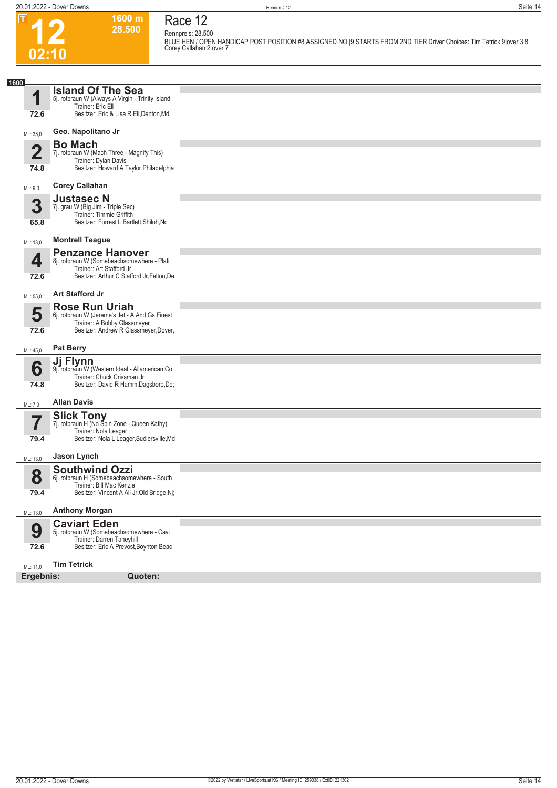**12**

 $\boxed{1}$ 

**02:10**

**Race 12**

**Rennpreis: 28.500**

**1600 m 28.500** 

**BLUE HEN / OPEN HANDICAP POST POSITION #8 ASSIGNED NO.|9 STARTS FROM 2ND TIER Driver Choices: Tim Tetrick 9|over 3,8 Corey Callahan 2 over 7** 

| 1600                    |                                                                                                                  |  |
|-------------------------|------------------------------------------------------------------------------------------------------------------|--|
| 1                       | <b>Island Of The Sea</b>                                                                                         |  |
|                         | 5j. rotbraun W (Always A Virgin - Trinity Island<br>Trainer: Eric Ell<br>Besitzer: Eric & Lisa R Ell, Denton, Md |  |
| 72.6                    |                                                                                                                  |  |
| ML: 35,0                | Geo. Napolitano Jr                                                                                               |  |
| $\overline{\mathbf{2}}$ | <b>Bo Mach</b><br>7j. rotbraun W (Mach Three - Magnify This)                                                     |  |
| 74.8                    | Trainer: Dylan Davis<br>Besitzer: Howard A Taylor, Philadelphia                                                  |  |
| ML: 9,0                 | <b>Corey Callahan</b>                                                                                            |  |
|                         | <b>Justasec N</b>                                                                                                |  |
| 3                       | 7j. grau W (Big Jim - Triple Sec)<br>Trainer: Timmie Griffith                                                    |  |
| 65.8                    | Besitzer: Forrest L Bartlett, Shiloh, Nc                                                                         |  |
| ML: 13,0                | <b>Montrell Teague</b>                                                                                           |  |
| 4                       | <b>Penzance Hanover</b><br>8j. rotbraun W (Somebeachsomewhere - Plati                                            |  |
| 72.6                    | Trainer: Art Stafford Jr<br>Besitzer: Arthur C Stafford Jr, Felton, De                                           |  |
|                         | <b>Art Stafford Jr</b>                                                                                           |  |
| ML: 55,0                | <b>Rose Run Uriah</b>                                                                                            |  |
| 5                       | 6j. rotbraun W (Jereme's Jet - A And Gs Finest<br>Trainer: A Bobby Glassmeyer                                    |  |
| 72.6                    | Besitzer: Andrew R Glassmeyer, Dover,                                                                            |  |
| ML: 45,0                | <b>Pat Berry</b>                                                                                                 |  |
| 6                       | Ji Flynn<br>9j. rotbraun W (Western Ideal - Allamerican Co                                                       |  |
|                         | Trainer: Chuck Crissman Jr                                                                                       |  |
| 74.8                    | Besitzer: David R Hamm, Dagsboro, De;                                                                            |  |
| ML: 7,0                 | <b>Allan Davis</b>                                                                                               |  |
| 7                       | <b>Slick Tony</b><br>7j. rotbraun H (No Spin Zone - Queen Kathy)                                                 |  |
| 79.4                    | Trainer: Nola Leager<br>Besitzer: Nola L Leager, Sudlersville, Md                                                |  |
| ML: 13,0                | Jason Lynch                                                                                                      |  |
|                         | <b>Southwind Ozzi</b>                                                                                            |  |
| 8                       | 6j. rotbraun H (Somebeachsomewhere - South<br>Trainer: Bill Mac Kenzie                                           |  |
| 79.4                    | Besitzer: Vincent A Ali Jr, Old Bridge, Nj;                                                                      |  |
| ML: 13,0                | <b>Anthony Morgan</b>                                                                                            |  |
| 9                       | <b>Caviart Eden</b><br>5j. rotbraun W (Somebeachsomewhere - Cavi                                                 |  |
| 72.6                    | Trainer: Darren Taneyhill<br>Besitzer: Eric A Prevost, Boynton Beac                                              |  |
| ML: 11,0                | <b>Tim Tetrick</b>                                                                                               |  |
| Ergebnis:               | Quoten:                                                                                                          |  |